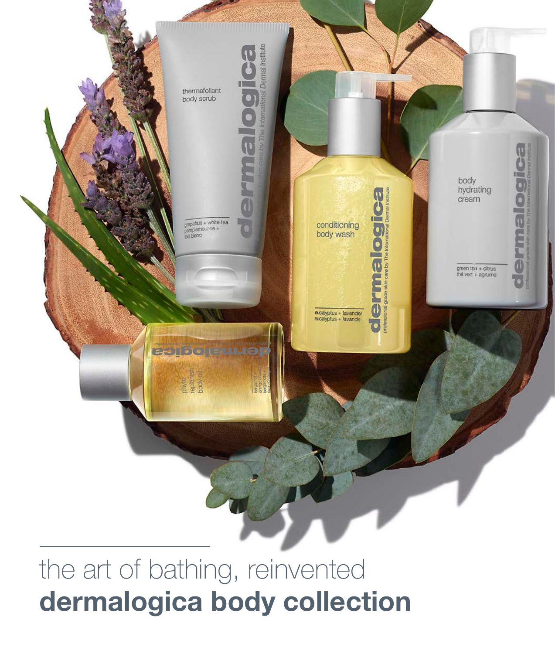

## the art of bathing, reinvented dermalogica body collection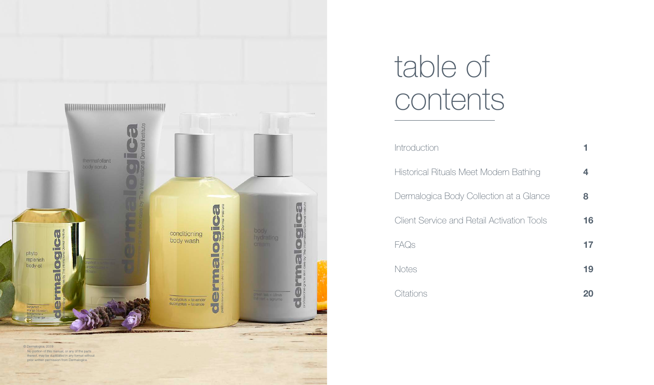

# table of contents

| <b>Introduction</b>                               |    |
|---------------------------------------------------|----|
| Historical Rituals Meet Modern Bathing            | 4  |
| Dermalogica Body Collection at a Glance           | 8  |
| <b>Client Service and Retail Activation Tools</b> | 16 |
| FAQs                                              | 17 |
| Notes                                             | 19 |
| Citations                                         | 20 |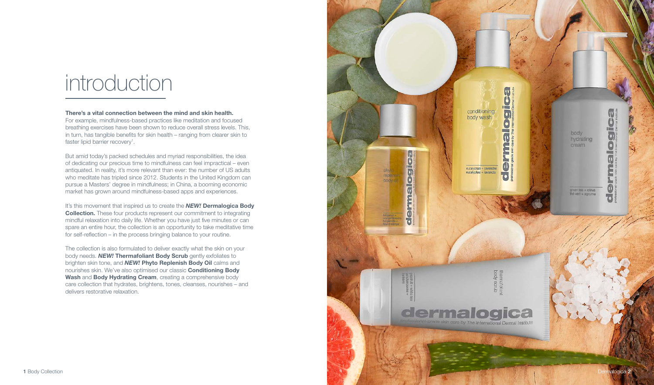# introduction

#### There's a vital connection between the mind and skin health.

For example, mindfulness-based practices like meditation and focused breathing exercises have been shown to reduce overall stress levels. This, in turn, has tangible benefits for skin health – ranging from clearer skin to faster lipid barrier recovery<sup>1</sup>.

But amid today's packed schedules and myriad responsibilities, the idea of dedicating our precious time to mindfulness can feel impractical – even antiquated. In reality, it's more relevant than ever: the number of US adults who meditate has tripled since 2012. Students in the United Kingdom can pursue a Masters' degree in mindfulness; in China, a booming economic market has grown around mindfulness-based apps and experiences.

It's this movement that inspired us to create the *NEW!* Dermalogica Body **Collection.** These four products represent our commitment to integrating mindful relaxation into daily life. Whether you have just five minutes or can spare an entire hour, the collection is an opportunity to take meditative time for self-reflection – in the process bringing balance to your routine.

The collection is also formulated to deliver exactly what the skin on your body needs. *NEW!* Thermafoliant Body Scrub gently exfoliates to brighten skin tone, and *NEW!* Phyto Replenish Body Oil calms and nourishes skin. We've also optimised our classic Conditioning Body Wash and Body Hydrating Cream, creating a comprehensive body care collection that hydrates, brightens, tones, cleanses, nourishes – and delivers restorative relaxation.

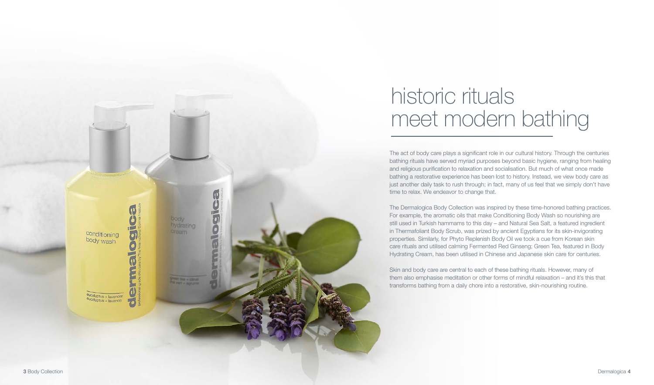

# historic rituals meet modern bathing

The act of body care plays a significant role in our cultural history. Through the centuries bathing rituals have served myriad purposes beyond basic hygiene, ranging from healing and religious purification to relaxation and socialisation. But much of what once made bathing a restorative experience has been lost to history. Instead, we view body care as just another daily task to rush through; in fact, many of us feel that we simply don't have time to relax. We endeavor to change that.

The Dermalogica Body Collection was inspired by these time-honored bathing practices. For example, the aromatic oils that make Conditioning Body Wash so nourishing are still used in Turkish hammams to this day – and Natural Sea Salt, a featured ingredient in Thermafoliant Body Scrub, was prized by ancient Egyptians for its skin-invigorating properties. Similarly, for Phyto Replenish Body Oil we took a cue from Korean skin care rituals and utilised calming Fermented Red Ginseng; Green Tea, featured in Body Hydrating Cream, has been utilised in Chinese and Japanese skin care for centuries.

Skin and body care are central to each of these bathing rituals. However, many of them also emphasise meditation or other forms of mindful relaxation – and it's this that transforms bathing from a daily chore into a restorative, skin-nourishing routine.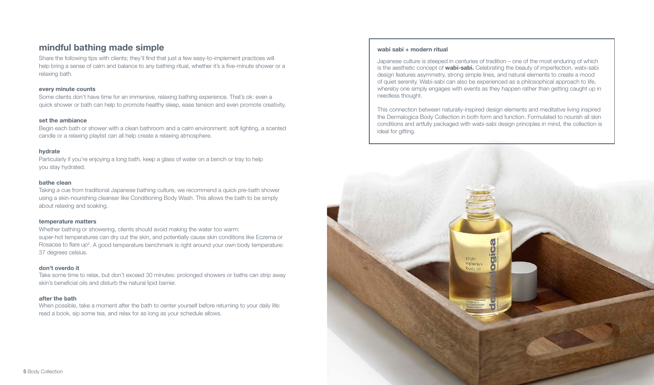#### mindful bathing made simple

Share the following tips with clients; they'll find that just a few easy-to-implement practices will help bring a sense of calm and balance to any bathing ritual, whether it's a five-minute shower or a relaxing bath.

#### every minute counts

Some clients don't have time for an immersive, relaxing bathing experience. That's ok: even a quick shower or bath can help to promote healthy sleep, ease tension and even promote creativity.

#### set the ambiance

Begin each bath or shower with a clean bathroom and a calm environment: soft lighting, a scented candle or a relaxing playlist can all help create a relaxing atmosphere.

#### hydrate

Particularly if you're enjoying a long bath, keep a glass of water on a bench or tray to help you stay hydrated.

#### bathe clean

Taking a cue from traditional Japanese bathing culture, we recommend a quick pre-bath shower using a skin-nourishing cleanser like Conditioning Body Wash. This allows the bath to be simply about relaxing and soaking.

#### temperature matters

Whether bathing or showering, clients should avoid making the water too warm: super-hot temperatures can dry out the skin, and potentially cause skin conditions like Eczema or Rosacea to flare up<sup>2</sup>. A good temperature benchmark is right around your own body temperature: 37 degrees celsius.

#### don't overdo it

Take some time to relax, but don't exceed 30 minutes: prolonged showers or baths can strip away skin's beneficial oils and disturb the natural lipid barrier.

#### after the bath

When possible, take a moment after the bath to center yourself before returning to your daily life: read a book, sip some tea, and relax for as long as your schedule allows.

#### wabi sabi + modern ritual

Japanese culture is steeped in centuries of tradition – one of the most enduring of which is the aesthetic concept of **wabi-sabi.** Celebrating the beauty of imperfection, wabi-sabi design features asymmetry, strong simple lines, and natural elements to create a mood of quiet serenity. Wabi-sabi can also be experienced as a philosophical approach to life, whereby one simply engages with events as they happen rather than getting caught up in needless thought.

This connection between naturally-inspired design elements and meditative living inspired the Dermalogica Body Collection in both form and function. Formulated to nourish all skin conditions and artfully packaged with wabi-sabi design principles in mind, the collection is ideal for gifting.

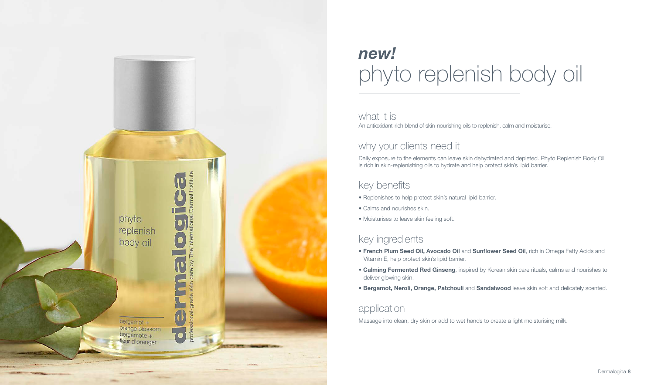

# *new!* phyto replenish body oil

what it is An antioxidant-rich blend of skin-nourishing oils to replenish, calm and moisturise.

## why your clients need it

Daily exposure to the elements can leave skin dehydrated and depleted. Phyto Replenish Body Oil is rich in skin-replenishing oils to hydrate and help protect skin's lipid barrier.

## key benefits

- Replenishes to help protect skin's natural lipid barrier.
- Calms and nourishes skin.
- Moisturises to leave skin feeling soft.

## key ingredients

- French Plum Seed Oil, Avocado Oil and Sunflower Seed Oil, rich in Omega Fatty Acids and Vitamin E, help protect skin's lipid barrier.
- Calming Fermented Red Ginseng, inspired by Korean skin care rituals, calms and nourishes to deliver glowing skin.
- **Bergamot, Neroli, Orange, Patchouli** and **Sandalwood** leave skin soft and delicately scented.

#### application

Massage into clean, dry skin or add to wet hands to create a light moisturising milk.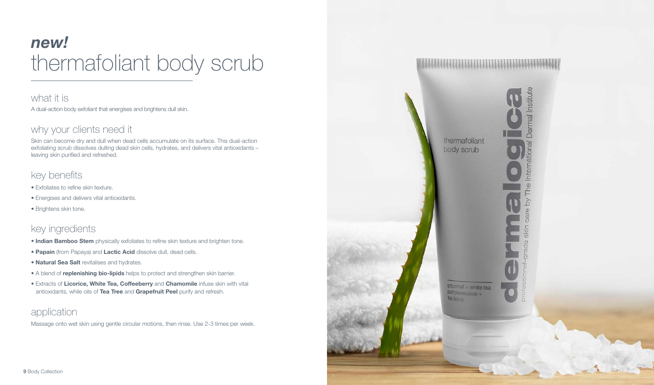# *new!* thermafoliant body scrub

what it is A dual-action body exfoliant that energises and brightens dull skin.

#### why your clients need it

Skin can become dry and dull when dead cells accumulate on its surface. This dual-action exfoliating scrub dissolves dulling dead skin cells, hydrates, and delivers vital antioxidants – leaving skin purified and refreshed.

#### key benefits

- Exfoliates to refine skin texture.
- Energises and delivers vital antioxidants.
- Brightens skin tone.

## key ingredients

- Indian Bamboo Stem physically exfoliates to refine skin texture and brighten tone.
- Papain (from Papaya) and Lactic Acid dissolve dull, dead cells.
- Natural Sea Salt revitalises and hydrates.
- A blend of *replenishing bio-lipids* helps to protect and strengthen skin barrier.
- Extracts of Licorice, White Tea, Coffeeberry and Chamomile infuse skin with vital antioxidants, while oils of Tea Tree and Grapefruit Peel purify and refresh.

## application

Massage onto wet skin using gentle circular motions, then rinse. Use 2-3 times per week.

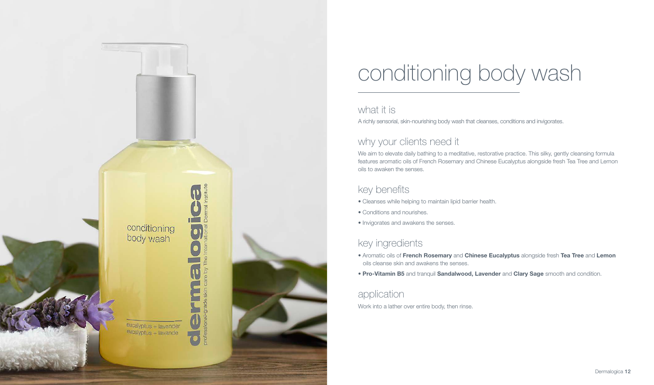

# conditioning body wash

#### what it is

A richly sensorial, skin-nourishing body wash that cleanses, conditions and invigorates.

## why your clients need it

We aim to elevate daily bathing to a meditative, restorative practice. This silky, gently cleansing formula features aromatic oils of French Rosemary and Chinese Eucalyptus alongside fresh Tea Tree and Lemon oils to awaken the senses.

## key benefits

- Cleanses while helping to maintain lipid barrier health.
- Conditions and nourishes.
- Invigorates and awakens the senses.

## key ingredients

- Aromatic oils of French Rosemary and Chinese Eucalyptus alongside fresh Tea Tree and Lemon oils cleanse skin and awakens the senses.
- Pro-Vitamin B5 and tranquil Sandalwood, Lavender and Clary Sage smooth and condition.

#### application

Work into a lather over entire body, then rinse.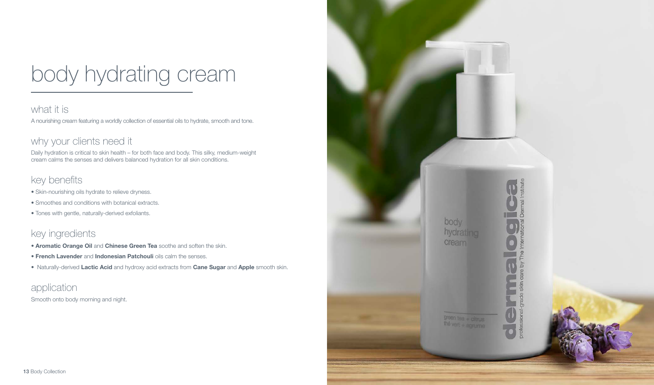# body hydrating cream

#### what it is

A nourishing cream featuring a worldly collection of essential oils to hydrate, smooth and tone.

### why your clients need it

Daily hydration is critical to skin health – for both face and body. This silky, medium-weight cream calms the senses and delivers balanced hydration for all skin conditions.

## key benefits

- Skin-nourishing oils hydrate to relieve dryness.
- Smoothes and conditions with botanical extracts.
- Tones with gentle, naturally-derived exfoliants.

## key ingredients

- Aromatic Orange Oil and Chinese Green Tea soothe and soften the skin.
- French Lavender and Indonesian Patchouli oils calm the senses.
- Naturally-derived Lactic Acid and hydroxy acid extracts from Cane Sugar and Apple smooth skin.

application Smooth onto body morning and night.

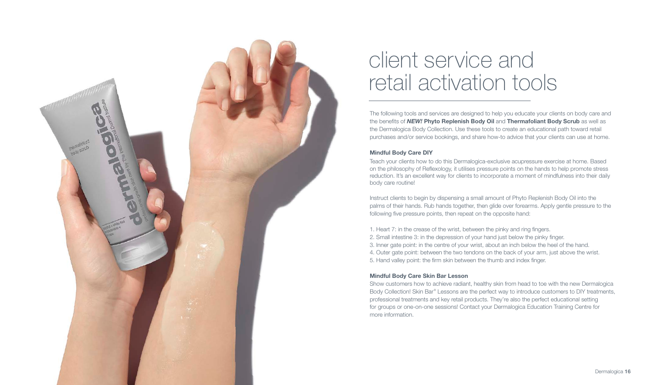

# client service and retail activation tools

The following tools and services are designed to help you educate your clients on body care and the benefits of *NEW!* Phyto Replenish Body Oil and Thermafoliant Body Scrub as well as the Dermalogica Body Collection. Use these tools to create an educational path toward retail purchases and/or service bookings, and share how-to advice that your clients can use at home.

#### Mindful Body Care DIY

Teach your clients how to do this Dermalogica-exclusive acupressure exercise at home. Based on the philosophy of Reflexology, it utilises pressure points on the hands to help promote stress reduction. It's an excellent way for clients to incorporate a moment of mindfulness into their daily body care routine!

Instruct clients to begin by dispensing a small amount of Phyto Replenish Body Oil into the palms of their hands. Rub hands together, then glide over forearms. Apply gentle pressure to the following five pressure points, then repeat on the opposite hand:

1. Heart 7: in the crease of the wrist, between the pinky and ring fingers. 2. Small intestine 3: in the depression of your hand just below the pinky finger. 3. Inner gate point: in the centre of your wrist, about an inch below the heel of the hand. 4. Outer gate point: between the two tendons on the back of your arm, just above the wrist. 5. Hand valley point: the firm skin between the thumb and index finger.

#### Mindful Body Care Skin Bar Lesson

Show customers how to achieve radiant, healthy skin from head to toe with the new Dermalogica Body Collection! Skin Bar® Lessons are the perfect way to introduce customers to DIY treatments, professional treatments and key retail products. They're also the perfect educational setting for groups or one-on-one sessions! Contact your Dermalogica Education Training Centre for more information.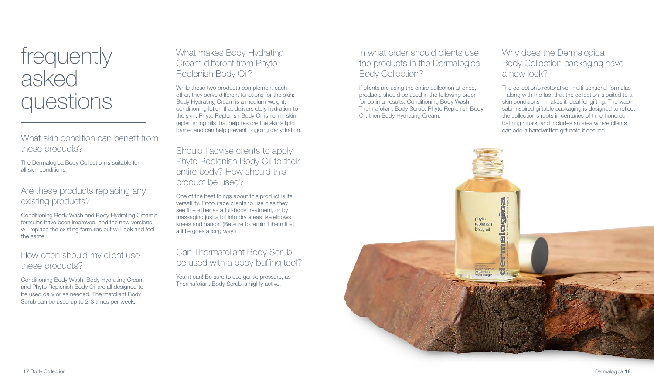# frequently asked questions

What skin condition can benefit from these products?

The Dermalogica Body Collection is suitable for all skin conditions.

#### Are these products replacing any existing products?

Conditioning Body Wash and Body Hydrating Cream's formulas have been improved, and the new versions will replace the existing formulas but will look and feel the same.

#### How often should my client use these products?

Conditioning Body Wash, Body Hydrating Cream and Phyto Replenish Body Oil are all designed to be used daily or as needed. Thermafoliant Body Scrub can be used up to 2-3 times per week.

#### What makes Body Hydrating Cream different from Phyto Replenish Body Oil?

While these two products complement each other, they serve different functions for the skin: Body Hydrating Cream is a medium-weight, conditioning lotion that delivers daily hydration to the skin. Phyto Replenish Body Oil is rich in skinreplenishing oils that help restore the skin's lipid barrier and can help prevent ongoing dehydration.

#### Should I advise clients to apply Phyto Replenish Body Oil to their entire body? How should this product be used?

One of the best things about this product is its versatility. Encourage clients to use it as they see fit – either as a full-body treatment, or by massaging just a bit into dry areas like elbows, knees and hands. (Be sure to remind them that a little goes a long way!)

#### Can Thermafoliant Body Scrub be used with a body buffing tool?

Yes, it can! Be sure to use gentle pressure, as Thermafoliant Body Scrub is highly active.

#### In what order should clients use the products in the Dermalogica Body Collection?

If clients are using the entire collection at once, products should be used in the following order for optimal results: Conditioning Body Wash, Thermafoliant Body Scrub, Phyto Replenish Body Oil, then Body Hydrating Cream.

#### Why does the Dermalogica Body Collection packaging have a new look?

The collection's restorative, multi-sensorial formulas – along with the fact that the collection is suited to all skin conditions – makes it ideal for gifting. The wabisabi-inspired giftable packaging is designed to reflect the collection's roots in centuries of time-honored bathing rituals, and includes an area where clients can add a handwritten gift note if desired.

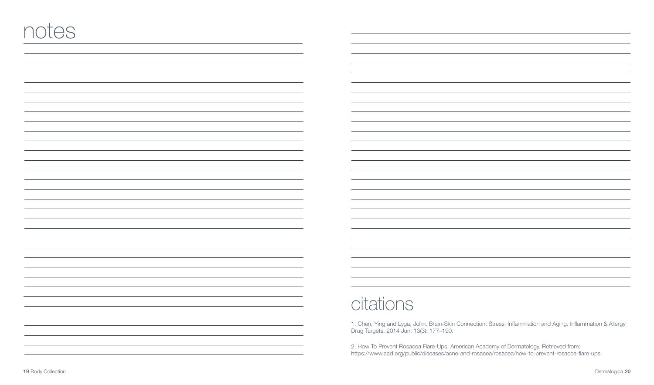## citations

1. Chen, Ying and Lyga, John. Brain-Skin Connection: Stress, Inflammation and Aging. Inflammation & Allergy Drug Targets. 2014 Jun; 13(3): 177–190.

2. How To Prevent Rosacea Flare-Ups. American Academy of Dermatology. Retrieved from: https://www.aad.org/public/diseases/acne-and-rosacea/rosacea/how-to-prevent-rosacea-flare-ups